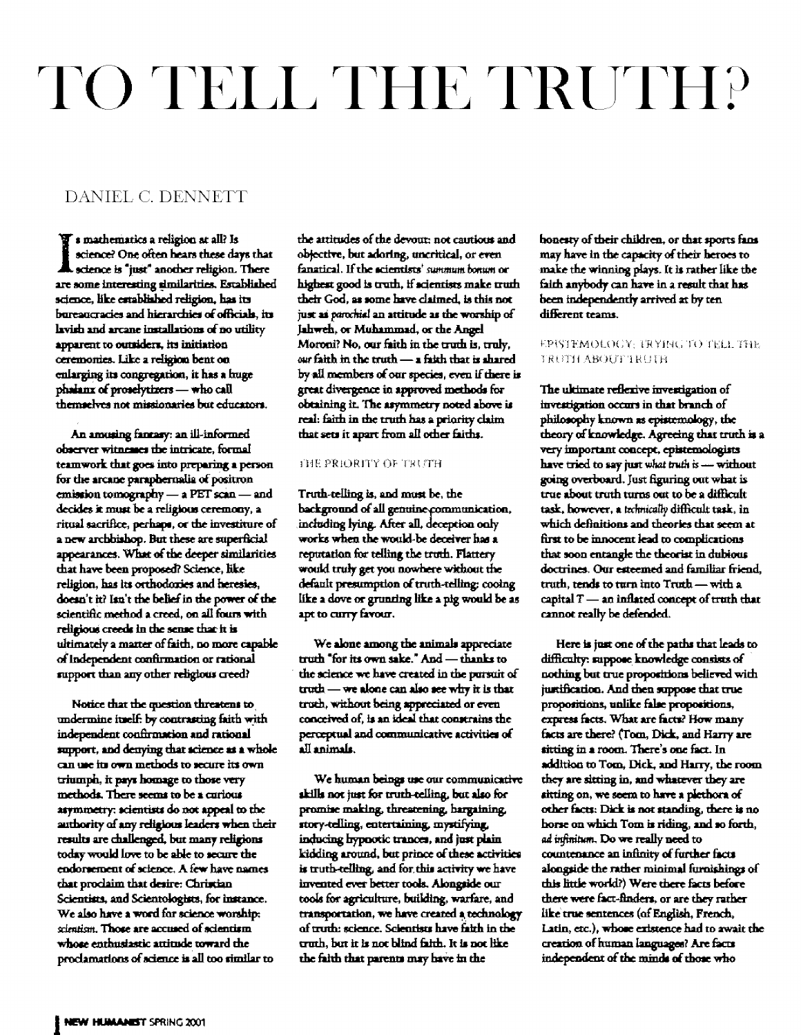## TO TELL THE TRUTH?

## DANIEL C. DENNETT

T's mathematics a religion at all? Is science? One often hears these days that science is "just" another religion. There are some interesting similarities. Established science, like established religion, has its bureaucracies and hierarchies of officials, its lavish and arcane installations of no utility apparent to outsiders, its initiation ceremonies. Like a religion bent on enlarging its congregation, it has a huge phalanx of proselytizers - who call themselves not missionaries but educators.

An amusing fantasy: an ill-informed observer witnesses the intricate, formal teamwork that goes into preparing a person for the arcane paraphernalia of positron emission tomography - a PET scan - and decides it must be a religious ceremony, a ritual sacrifice, perhaps, or the investiture of a new archbishop. But these are superficial appearances. What of the deeper similarities that have been proposed? Science, like religion, has its orthodoxies and heresies, doesn't it? Isn't the belief in the power of the scientific method a creed, on all fours with religious creeds in the sense that it is ultimately a matter of faith, no more capable of Independent confirmation or rational support than any other religious creed?

Notice that the question threatens to undermine itself: by contrasting faith with independent confirmation and rational support, and denying that science as a whole can use its own methods to secure its own triumph, it pays homage to those very methods. There seems to be a curious asymmetry: scientists do not appeal to the authority of any religious leaders when their results are challenged, but many religions today would love to be able to secure the endorsement of science. A few have names that proclaim that desire: Christian Scientists, and Scientologists, for instance. We also have a word for science worship: scientism. Those are accused of scientism whose enthusiastic attitude toward the proclamations of acience is all too similar to

the attitudes of the devout: not cautious and objective, but adoring, uncritical, or even fanatical. If the scientists' summum bonum or highest good is truth, if scientists make truth their God, as some have claimed, is this not just as parochial an attitude as the worship of Jahweh, or Muhammad, or the Angel Moroni? No, our faith in the truth is, truly, our faith in the truth - a faith that is shared by all members of our species, even if there is great divergence in approved methods for obtaining it. The asymmetry noted above is real: faith in the truth has a priority claim that sets it apart from all other faiths.

## THE PRIORITY OF TRUTH

Truth-telling is, and must be, the background of all genuine communication, including lying. After all, deception only works when the would-be deceiver has a reputation for telling the truth. Flattery would truly get you nowhere without the default presumption of truth-telling; cooing like a dove or grunting like a pig would be as apt to curry favour.

We alone among the animals appreciate truth "for its own sake." And - thanks to the science we have created in the pursuit of truth - we alone can also see why it is that truth, without being appreciated or even conceived of, is an ideal that constrains the perceptual and communicative activities of all animals.

We human beings use our communicative skills not just for truth-telling, but also for promise making, threatening, hargaining, story-telling, entertaining, mystifying, inducing hypnotic trances, and just plain kidding around, but prince of these activities is truth-telling, and for this activity we have invented ever better tools. Alongside our tools for agriculture, building, warfare, and transportation, we have created a technology of truth: science. Scientists have faith in the truth, but it is not blind faith. It is not like the faith that parents may have in the

honesty of their children, or that sports fans may have in the capacity of their heroes to make the winning plays. It is rather like the faith anybody can have in a result that has been independently arrived at by ten different teams.

## EPISTEMOLOGY: TRYING TO TELL THE **TRUTH ABOUT TRUTH**

The ultimate reflexive investigation of investigation occurs in that branch of philosophy known as epistemology, the theory of knowledge. Agreeing that truth is a very important concept, epistemologists have tried to say just what truth is - without going overboard. Just figuring out what is true about truth turns out to be a difficult task, however, a technically difficult task, in which definitions and theories that seem at first to be innocent lead to complications that soon entangle the theorist in dubious doctrines. Our esteemed and familiar friend, truth, tends to turn into Truth - with a capital  $T$  — an inflated concept of truth that cannot really be defended.

Here is just one of the paths that leads to difficulty: suppose knowledge consists of nothing but true proportiions believed with justification. And then suppose that true propositions, unlike false propositions, express facts. What are facts? How many facts are there? (Tom, Dick, and Harry are sitting in a room. There's one fact. In addition to Tom, Dick, and Harry, the room they are sitting in, and whatever they are sitting on, we seem to have a picthora of other facts: Dick is not standing, there is no horse on which Tom is riding, and so forth, ad infinitum. Do we really need to countenance an infinity of further facts alongside the rather minimal furnishings of this little world?) Were there facts before there were fact-finders, or are they rather like true sentences (of English, French, Latin, etc.), whose existence had to await the creation of human languages? Are facts independent of the minds of those who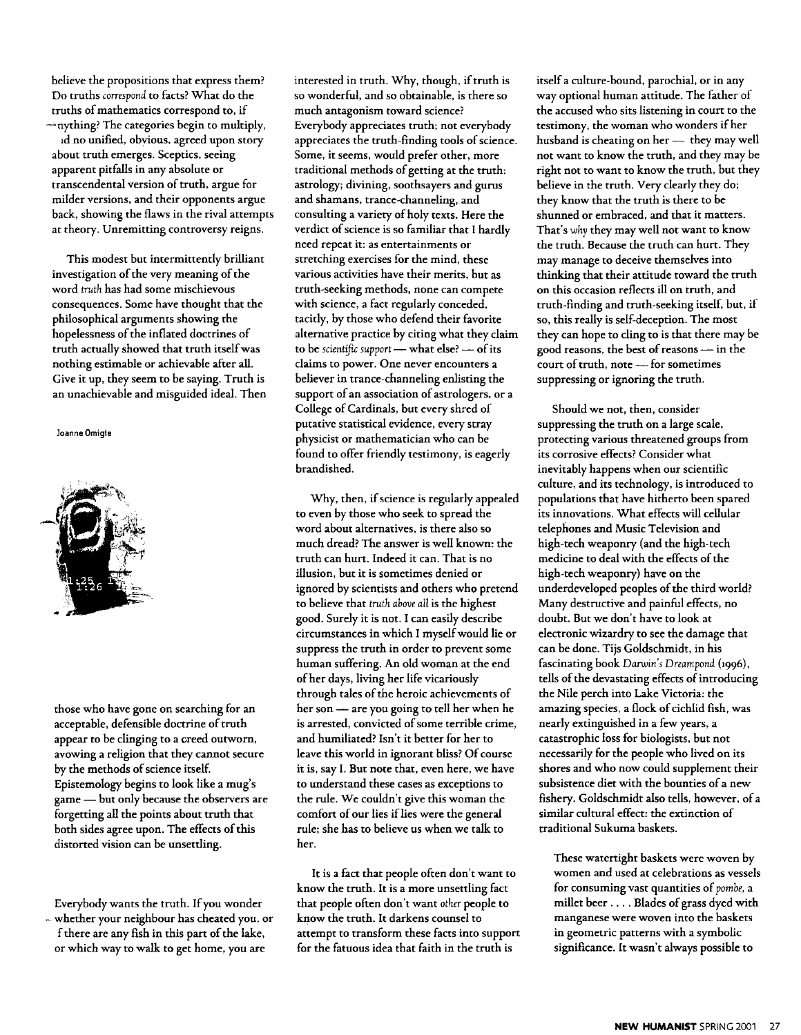believe the propositions that express them? Do truths *correspond* to facts? What do the truths of mathematics correspond to, if -nything? The categories begin to multiply,

id no unified, obvious, agreed upon story about truth emerges. Sceptics, seeing apparent pitfalls in any absolute or transcendental version of truth, argue for milder versions, and their opponents argue back, showing the flaws in the rival attempts at theory. Unremitting controversy reigns.

This modest but intermittently brilliant investigation of the very meaning of the word *truth* has had some mischievous consequences. Some have thought that the philosophical arguments showing the hopelessness of the inflated doctrines of truth actually showed that truth itselfwas nothing estimable or achievable after all. Give it up, they seem to be saying. Truth is an unachievable and misguided ideal. Then

Joanne Omigie



those who have gone on searching for an acceptable, defensible doctrine of truth appear to be clinging to a creed outworn, avowing a religion that they cannot secure by the methods of science itself. Epistemology begins to look like a mug's game - but only because the observers are forgetting all the points about truth that both sides agree upon. The effects of this distorted vision can be unsettling.

Everybody wants the truth. If you wonder ~. whether your neighbour has cheated you, or f there are any fish in this part of the lake, or which way to walk to get home, you are

interested in truth. Why, though, if truth is so wonderful, and so obtainable, is there so much antagonism toward science? Everybody appreciates truth; not everybody appreciates the truth-finding tools of science. Some, it seems, would prefer other, more traditional methods of getting at the truth: astrology; divining, soothsayers and gurus and shamans, trance-channeling, and consulting a variety of holy texts. Here the verdict of science is so familiar that I hardly need repeat it: as entertainments or stretching exercises for the mind, these various activities have their merits, but as truth-seeking methods, none can compete with science, a fact regularly conceded, tacitly, by those who defend their favorite alternative practice by citing what they claim to be *scientific support* - what else? - of its claims to power. One never encounters a believer in trance-channeling enlisting the support of an association of astrologers, or a College of Cardinals, but every shred of putative statistical evidence, every stray physicist or mathematician who can be found to offer friendly testimony, is eagerly brandished.

Why, then, if science is regularly appealed to even by those who seek to spread the word about alternatives, is there also so much dread? The answer is well known: the truth can hurt. Indeed it can. That is no illusion, but it is sometimes denied or ignored by scientists and others who pretend to believe that *truth above all*is the highest good. Surely it is not. I can easily describe circumstances in which I myselfwould lie or suppress the truth in order to prevent some human suffering. An old woman at the end ofher days, living her life vicariously through tales of the heroic achievements of her son - are you going to tell her when he is arrested, convicted of some terrible crime, and humiliated? Isn't it better for her to leave this world in ignorant bliss? Of course it is, say I. But note that, even here, we have to understand these cases as exceptions to the rule. We couldn't give this woman the comfort of our lies iflies were the general rule; she has to believe us when we talk to her.

It is a fact that people often don't want to know the truth. It is a more unsettling fact that people often don't want *other* people to know the truth. It darkens counsel to attempt to transform these facts into support for the fatuous idea that faith in the truth is

itself a culture-bound, parochial, or in any way optional human attitude. The father of the accused who sits listening in court to the testimony, the woman who wonders ifher husband is cheating on her  $-$  they may well not want to know the truth, and they may be right not to want to know the truth, but they believe in the truth. Very clearly they do; they know that the truth is there to be shunned or embraced, and that it matters. That's *why* they may well not want to know the truth. Because the truth can hurt. They may manage to deceive themselves into thinking that their attitude toward the truth on this occasion reflects ill on truth, and truth-finding and truth-seeking itself, but, if so, this really is self-deception. The most they can hope to cling to is that there may be good reasons, the best of reasons - in the court of truth, note  $-$  for sometimes suppressing or ignoring the truth.

Should we not, then, consider suppressing the truth on a large scale, protecting various threatened groups from its corrosive effects? Consider what inevitably happens when our scientific culture, and its technology, is introduced to populations that have hitherto been spared its innovations. What effects will cellular telephones and Music Television and high-tech weaponry (and the high-tech medicine to deal with the effects of the high-tech weaponry) have on the underdeveloped peoples of the third world? Many destructive and painful effects, no doubt. But we don't have to look at electronic wizardry to see the damage that can be done. Tijs Goldschmidt, in his fascinating book *Darwin's Dreampond* (1996), tells of the devastating effects of introducing the Nile perch into Lake Victoria: the amazing species, a flock of cichlid fish, was nearly extinguished in a few years, a catastrophic loss for biologists, but not necessarily for the people who lived on its shores and who now could supplement their subsistence diet with the bounties of a new fishery. Goldschmidt also tells, however, of a similar cultural effect: the extinction of traditional Sukuma baskets.

These watertight baskets were woven by women and used at celebrations as vessels for consuming vast quantities of *pombe,* a millet beer . . . . Blades of grass dyed with manganese were woven into the baskets in geometric patterns with a symbolic significance. It wasn't always possible to